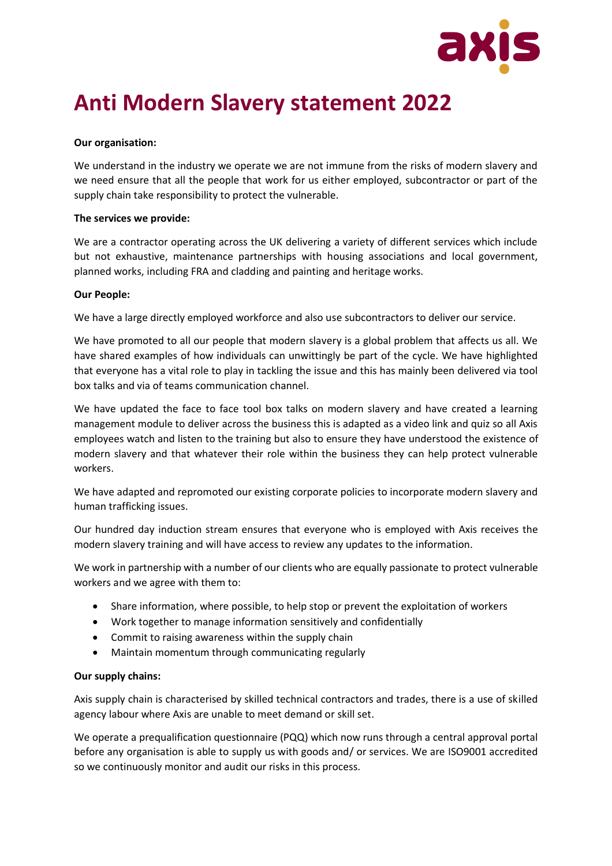

# **Anti Modern Slavery statement 2022**

## **Our organisation:**

We understand in the industry we operate we are not immune from the risks of modern slavery and we need ensure that all the people that work for us either employed, subcontractor or part of the supply chain take responsibility to protect the vulnerable.

### **The services we provide:**

We are a contractor operating across the UK delivering a variety of different services which include but not exhaustive, maintenance partnerships with housing associations and local government, planned works, including FRA and cladding and painting and heritage works.

## **Our People:**

We have a large directly employed workforce and also use subcontractors to deliver our service.

We have promoted to all our people that modern slavery is a global problem that affects us all. We have shared examples of how individuals can unwittingly be part of the cycle. We have highlighted that everyone has a vital role to play in tackling the issue and this has mainly been delivered via tool box talks and via of teams communication channel.

We have updated the face to face tool box talks on modern slavery and have created a learning management module to deliver across the business this is adapted as a video link and quiz so all Axis employees watch and listen to the training but also to ensure they have understood the existence of modern slavery and that whatever their role within the business they can help protect vulnerable workers.

We have adapted and repromoted our existing corporate policies to incorporate modern slavery and human trafficking issues.

Our hundred day induction stream ensures that everyone who is employed with Axis receives the modern slavery training and will have access to review any updates to the information.

We work in partnership with a number of our clients who are equally passionate to protect vulnerable workers and we agree with them to:

- Share information, where possible, to help stop or prevent the exploitation of workers
- Work together to manage information sensitively and confidentially
- Commit to raising awareness within the supply chain
- Maintain momentum through communicating regularly

### **Our supply chains:**

Axis supply chain is characterised by skilled technical contractors and trades, there is a use of skilled agency labour where Axis are unable to meet demand or skill set.

We operate a prequalification questionnaire (PQQ) which now runs through a central approval portal before any organisation is able to supply us with goods and/ or services. We are ISO9001 accredited so we continuously monitor and audit our risks in this process.